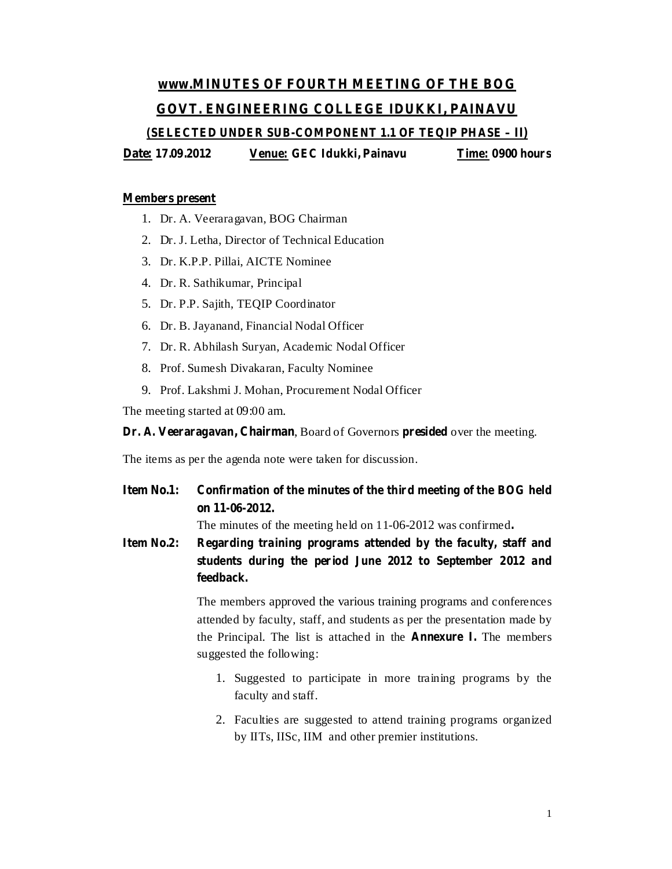# **www.MINUTES OF FOURTH MEETING OF THE BOG GOVT. ENGINEERING COLLEGE IDUKKI, PAINAVU**

**(SELECTED UNDER SUB-COMPONENT 1.1 OF TEQIP PHASE – II)**

**Date: 17.09.2012 Venue: GEC Idukki, Painavu Time: 0900 hours**

#### **Members present**

- 1. Dr. A. Veeraragavan, BOG Chairman
- 2. Dr. J. Letha, Director of Technical Education
- 3. Dr. K.P.P. Pillai, AICTE Nominee
- 4. Dr. R. Sathikumar, Principal
- 5. Dr. P.P. Sajith, TEQIP Coordinator
- 6. Dr. B. Jayanand, Financial Nodal Officer
- 7. Dr. R. Abhilash Suryan, Academic Nodal Officer
- 8. Prof. Sumesh Divakaran, Faculty Nominee
- 9. Prof. Lakshmi J. Mohan, Procurement Nodal Officer

The meeting started at 09:00 am.

#### **Dr. A. Veeraragavan, Chairman**, Board of Governors presided over the meeting.

The items as per the agenda note were taken for discussion.

**Item No.1: Confirmation of the minutes of the third meeting of the BOG held on 11-06-2012.**

The minutes of the meeting held on 11-06-2012 was confirmed **.**

**Item No.2: Regarding training programs attended by the faculty, staff and students during the period June 2012 to September 2012 and feedback.**

> The members approved the various training programs and conferences attended by faculty, staff, and students as per the presentation made by the Principal. The list is attached in the **Annexure** I. The members suggested the following:

- 1. Suggested to participate in more training programs by the faculty and staff.
- 2. Faculties are suggested to attend training programs organized by IITs, IISc, IIM and other premier institutions.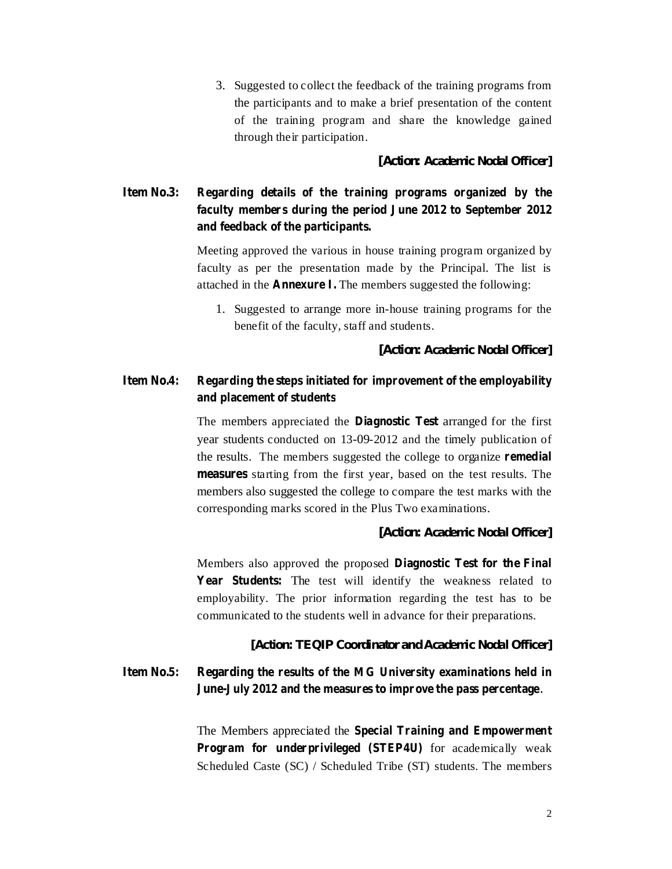3. Suggested to collect the feedback of the training programs from the participants and to make a brief presentation of the content of the training program and share the knowledge gained through their participation.

*[Action: Academic Nodal Officer]*

## **Item No.3: Regarding details of the training programs organized by the faculty members during the period June 2012 to September 2012 and feedback of the participants.**

Meeting approved the various in house training program organized by faculty as per the presentation made by the Principal. The list is attached in the **Annexure I.** The members suggested the following:

1. Suggested to arrange more in-house training programs for the benefit of the faculty, staff and students.

*[Action: Academic Nodal Officer]*

## **Item No.4: Regarding the steps initiated for improvement of the employability and placement of students**

The members appreciated the **Diagnostic** Test arranged for the first year students conducted on 13-09-2012 and the timely publication of the results. The members suggested the college to organize **remedial** measures starting from the first year, based on the test results. The members also suggested the college to compare the test marks with the corresponding marks scored in the Plus Two examinations.

#### *[Action: Academic Nodal Officer]*

Members also approved the proposed **Diagnostic Test for the Final** Year Students: The test will identify the weakness related to employability. The prior information regarding the test has to be communicated to the students well in advance for their preparations.

#### *[Action: TEQIP Coordinator and Academic Nodal Officer]*

## **Item No.5: Regarding the results of the MG University examinations held in June-July 2012 and the measures to improve the pass percentage** .

The Members appreciated the **Special Training and Empowerment Program** for underprivileged (STEP4U) for academically weak Scheduled Caste (SC) / Scheduled Tribe (ST) students. The members